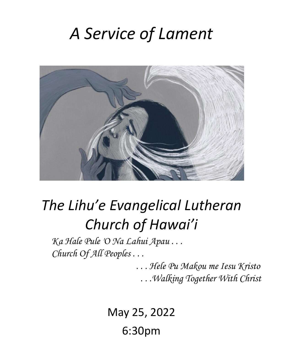# *A Service of Lament*



# *The Lihu'e Evangelical Lutheran Church of Hawai'i*

*Ka Hale Pule 'O Na Lahui Apau . . . Church Of All Peoples . . .*

> *. . . Hele Pu Makou me Iesu Kristo . . .Walking Together With Christ*

May 25, 2022 6:30pm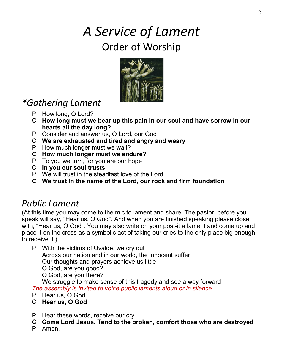## *A Service of Lament* Order of Worship



### *\*Gathering Lament*

- P How long, O Lord?
- **C How long must we bear up this pain in our soul and have sorrow in our hearts all the day long?**
- P Consider and answer us, O Lord, our God
- **C We are exhausted and tired and angry and weary**
- P How much longer must we wait?
- **C How much longer must we endure?**
- P To you we turn, for you are our hope
- **C In you our soul trusts**
- P We will trust in the steadfast love of the Lord
- **C We trust in the name of the Lord, our rock and firm foundation**

### *Public Lament*

(At this time you may come to the mic to lament and share. The pastor, before you speak will say, "Hear us, O God". And when you are finished speaking please close with, "Hear us, O God". You may also write on your post-it a lament and come up and place it on the cross as a symbolic act of taking our cries to the only place big enough to receive it.)

P With the victims of Uvalde, we cry out Across our nation and in our world, the innocent suffer Our thoughts and prayers achieve us little O God, are you good? O God, are you there?

We struggle to make sense of this tragedy and see a way forward *The assembly is invited to voice public laments aloud or in silence.* 

- P Hear us, O God
- **C Hear us, O God**
- P Hear these words, receive our cry
- **C Come Lord Jesus. Tend to the broken, comfort those who are destroyed**
- P Amen.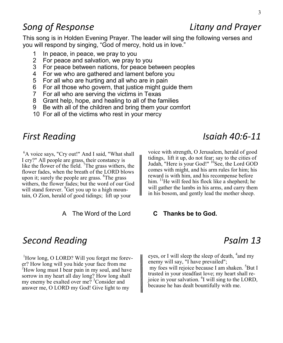#### *Song of Response Litany and Prayer*

This song is in Holden Evening Prayer. The leader will sing the following verses and you will respond by singing, "God of mercy, hold us in love."

- 1 In peace, in peace, we pray to you
- 2 For peace and salvation, we pray to you
- 3 For peace between nations, for peace between peoples
- 4 For we who are gathered and lament before you
- 5 For all who are hurting and all who are in pain
- 6 For all those who govern, that justice might guide them
- 7 For all who are serving the victims in Texas
- 8 Grant help, hope, and healing to all of the families
- 9 Be with all of the children and bring them your comfort
- 10 For all of the victims who rest in your mercy

<sup>6</sup>A voice says, "Cry out!" And I said, "What shall I cry?" All people are grass, their constancy is like the flower of the field. <sup>7</sup>The grass withers, the flower fades, when the breath of the LORD blows upon it; surely the people are grass. <sup>8</sup>The grass withers, the flower fades; but the word of our God will stand forever. <sup>9</sup>Get you up to a high mountain, O Zion, herald of good tidings; lift up your

A The Word of the Lord **C Thanks be to God.**

*First Reading Isaiah 40:6-11* 

voice with strength, O Jerusalem, herald of good tidings, lift it up, do not fear; say to the cities of Judah, "Here is your God!" <sup>10</sup>See, the Lord GOD comes with might, and his arm rules for him; his reward is with him, and his recompense before him. <sup>11</sup>He will feed his flock like a shepherd; he will gather the lambs in his arms, and carry them in his bosom, and gently lead the mother sheep.

#### **Second Reading Psalm 13**

 $1$ How long, O LORD? Will you forget me forever? How long will you hide your face from me <sup>2</sup>How long must I bear pain in my soul, and have sorrow in my heart all day long? How long shall my enemy be exalted over me?  ${}^{3}$ Consider and answer me, O LORD my God! Give light to my

eyes, or I will sleep the sleep of death, <sup>4</sup> and my enemy will say, "I have prevailed"; my foes will rejoice because I am shaken. <sup>5</sup>But I trusted in your steadfast love; my heart shall rejoice in your salvation. <sup>6</sup>I will sing to the LORD, because he has dealt bountifully with me.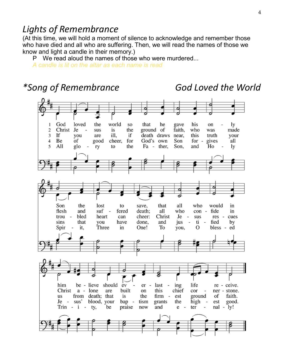### *Lights of Remembrance*

(At this time, we will hold a moment of silence to acknowledge and remember those who have died and all who are suffering. Then, we will read the names of those we know and light a candle in their memory.)

P We read aloud the names of those who were murdered...

*A candle is lit on the altar as each name is read*

#### *\*Song of Remembrance God Loved the World*God loved the world that he his 1 **SO** gave on lv  $\overline{2}$ Christ Je the ground of faith. who made sus is was 3 If vou are ill. if death draws near. this truth vour God's own 4 Be of good cheer. for Son for gives all 5 All glo ry to the Fa - ther, Son, and Ho ly Son the lost to save, that all who would in flesh and suf fered death; all who con fide in trou bled heart can cheer: Christ Je -÷ sus res cues sins that have done, and  $\overline{\phantom{a}}$ fied vou jus ti.  $\sim$ by Spir Three To bless it. in One! vou. о ed him be - lieve should ėv ing life re - ceive.  $er$ last  $\overline{\phantom{a}}$ Christ a - lone built this chief cor are on ner - stone. **us** from death; that is the firm est ground of faith.  $\overline{\phantom{a}}$ Je - sus' blood, your bap tism grants the high good. est Trin -  $i$  - tv. be praise now and ter nal - lv! e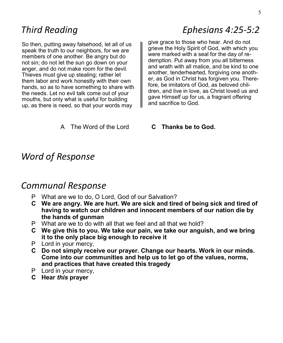So then, putting away falsehood, let all of us speak the truth to our neighbors, for we are members of one another. Be angry but do not sin; do not let the sun go down on your anger, and do not make room for the devil. Thieves must give up stealing; rather let them labor and work honestly with their own hands, so as to have something to share with the needs. Let no evil talk come out of your mouths, but only what is useful for building up, as there is need, so that your words may

### *Third Reading Ephesians 4:25-5:2*

give grace to those who hear. And do not grieve the Holy Spirit of God, with which you were marked with a seal for the day of redemption. Put away from you all bitterness and wrath with all malice, and be kind to one another, tenderhearted, forgiving one another, as God in Christ has forgiven you. Therefore, be imitators of God, as beloved children, and live in love, as Christ loved us and gave Himself up for us, a fragrant offering and sacrifice to God.

A The Word of the Lord **C Thanks be to God.**

#### *Word of Response*

#### *Communal Response*

- P What are we to do, O Lord, God of our Salvation?
- **C We are angry. We are hurt. We are sick and tired of being sick and tired of having to watch our children and innocent members of our nation die by the hands of gunman**
- P What are we to do with all that we feel and all that we hold?
- **C We give this to you. We take our pain, we take our anguish, and we bring it to the only place big enough to receive it**
- P Lord in your mercy,
- **C Do not simply receive our prayer. Change our hearts. Work in our minds. Come into our communities and help us to let go of the values, norms, and practices that have created this tragedy**
- P Lord in your mercy,
- **C Hear** *this* **prayer**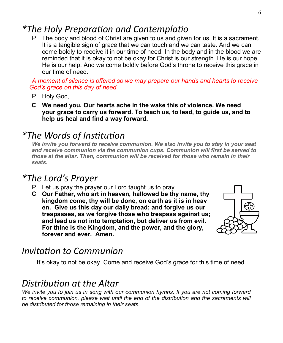#### *\*The Holy Preparation and Contemplatio*

P The body and blood of Christ are given to us and given for us. It is a sacrament. It is a tangible sign of grace that we can touch and we can taste. And we can come boldly to receive it in our time of need. In the body and in the blood we are reminded that it is okay to not be okay for Christ is our strength. He is our hope. He is our help. And we come boldly before God's throne to receive this grace in our time of need.

*A moment of silence is offered so we may prepare our hands and hearts to receive God's grace on this day of need*

- P Holy God,
- **C We need you. Our hearts ache in the wake this of violence. We need your grace to carry us forward. To teach us, to lead, to guide us, and to help us heal and find a way forward.**

### *\*The Words of Institution*

*We invite you forward to receive communion. We also invite you to stay in your seat and receive communion via the communion cups. Communion will first be served to those at the altar. Then, communion will be received for those who remain in their seats.*

#### *\*The Lord's Prayer*

- P Let us pray the prayer our Lord taught us to pray...
- **C Our Father, who art in heaven, hallowed be thy name, thy kingdom come, thy will be done, on earth as it is in heav en. Give us this day our daily bread; and forgive us our trespasses, as we forgive those who trespass against us; and lead us not into temptation, but deliver us from evil. For thine is the Kingdom, and the power, and the glory, forever and ever. Amen.**



### *Invitation to Communion*

It's okay to not be okay. Come and receive God's grace for this time of need.

#### *Distribution at the Altar*

*We invite you to join us in song with our communion hymns. If you are not coming forward*  to receive communion, please wait until the end of the distribution and the sacraments will *be distributed for those remaining in their seats.*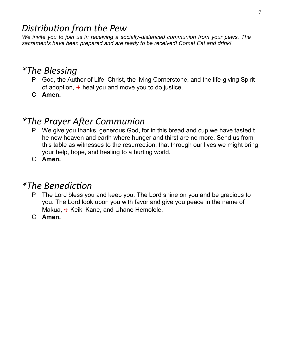#### *Distribution from the Pew*

*We invite you to join us in receiving a socially-distanced communion from your pews. The sacraments have been prepared and are ready to be received! Come! Eat and drink!*

#### *\*The Blessing*

- P God, the Author of Life, Christ, the living Cornerstone, and the life-giving Spirit of adoption,  $\pm$  heal you and move you to do justice.
- **C Amen.**

#### *\*The Prayer After Communion*

- P We give you thanks, generous God, for in this bread and cup we have tasted t he new heaven and earth where hunger and thirst are no more. Send us from this table as witnesses to the resurrection, that through our lives we might bring your help, hope, and healing to a hurting world.
- C **Amen.**

#### *\*The Benediction*

- P The Lord bless you and keep you. The Lord shine on you and be gracious to you. The Lord look upon you with favor and give you peace in the name of Makua, + Keiki Kane, and Uhane Hemolele.
- C **Amen.**